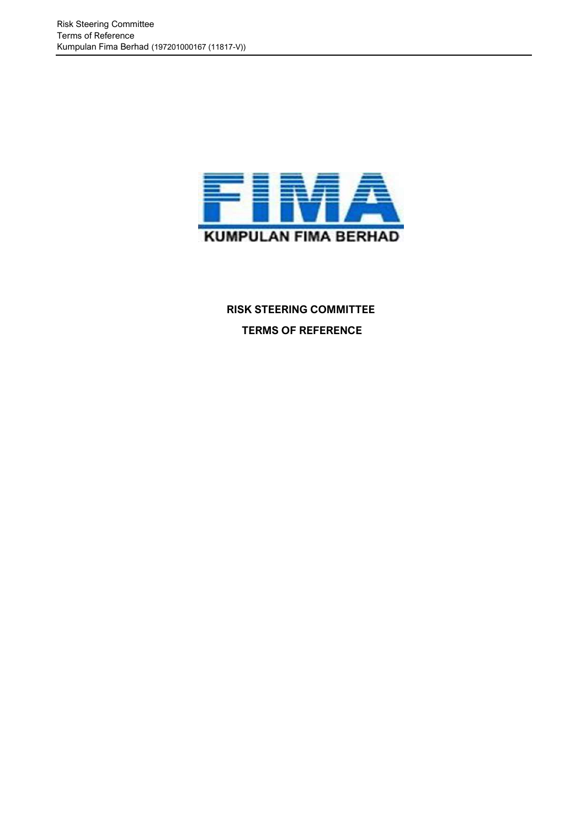

 **RISK STEERING COMMITTEE TERMS OF REFERENCE**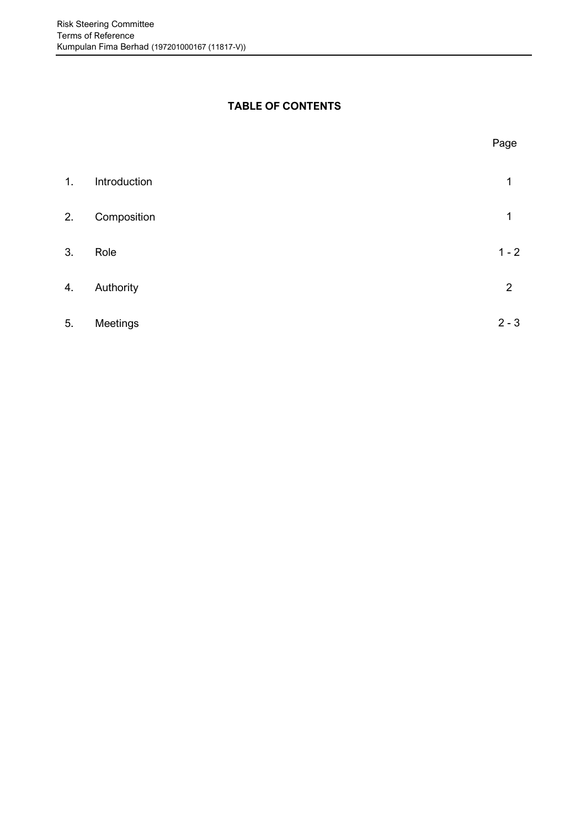# **TABLE OF CONTENTS**

|    |              | Page           |
|----|--------------|----------------|
| 1. | Introduction | 1              |
| 2. | Composition  | 1              |
| 3. | Role         | $1 - 2$        |
| 4. | Authority    | $\overline{2}$ |
| 5. | Meetings     | $2 - 3$        |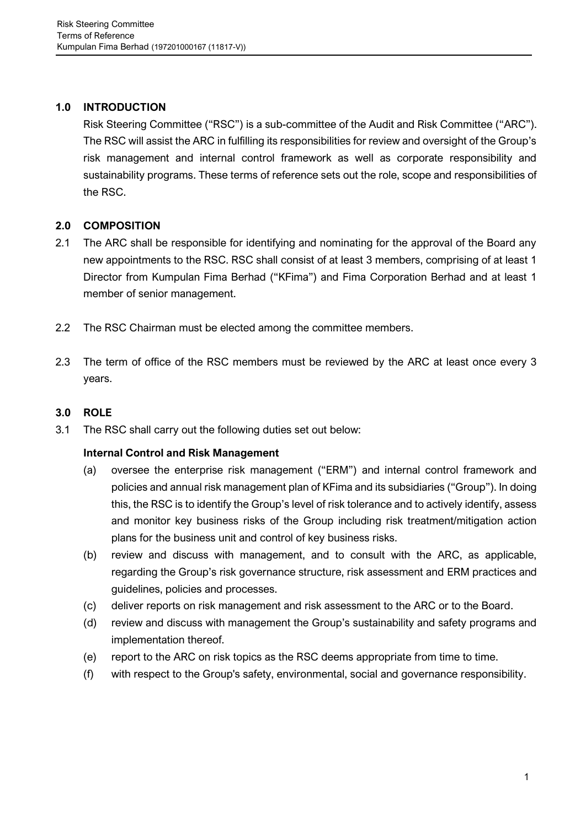# **1.0 INTRODUCTION**

Risk Steering Committee ("RSC") is a sub-committee of the Audit and Risk Committee ("ARC"). The RSC will assist the ARC in fulfilling its responsibilities for review and oversight of the Group's risk management and internal control framework as well as corporate responsibility and sustainability programs. These terms of reference sets out the role, scope and responsibilities of the RSC.

## **2.0 COMPOSITION**

- 2.1 The ARC shall be responsible for identifying and nominating for the approval of the Board any new appointments to the RSC. RSC shall consist of at least 3 members, comprising of at least 1 Director from Kumpulan Fima Berhad ("KFima") and Fima Corporation Berhad and at least 1 member of senior management.
- 2.2 The RSC Chairman must be elected among the committee members.
- 2.3 The term of office of the RSC members must be reviewed by the ARC at least once every 3 years.

## **3.0 ROLE**

3.1 The RSC shall carry out the following duties set out below:

#### **Internal Control and Risk Management**

- (a) oversee the enterprise risk management ("ERM") and internal control framework and policies and annual risk management plan of KFima and its subsidiaries ("Group"). In doing this, the RSC is to identify the Group's level of risk tolerance and to actively identify, assess and monitor key business risks of the Group including risk treatment/mitigation action plans for the business unit and control of key business risks.
- (b) review and discuss with management, and to consult with the ARC, as applicable, regarding the Group's risk governance structure, risk assessment and ERM practices and guidelines, policies and processes.
- (c) deliver reports on risk management and risk assessment to the ARC or to the Board.
- (d) review and discuss with management the Group's sustainability and safety programs and implementation thereof.
- (e) report to the ARC on risk topics as the RSC deems appropriate from time to time.
- (f) with respect to the Group's safety, environmental, social and governance responsibility.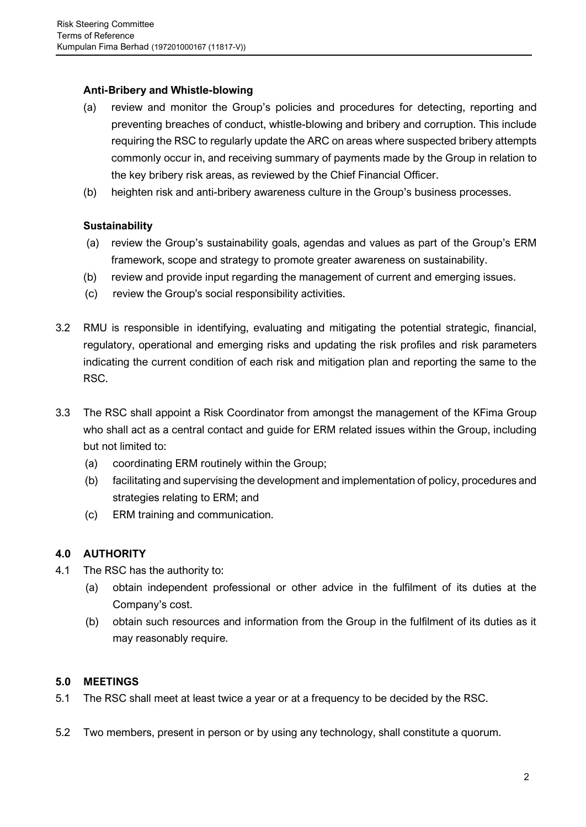## **Anti-Bribery and Whistle-blowing**

- (a) review and monitor the Group's policies and procedures for detecting, reporting and preventing breaches of conduct, whistle-blowing and bribery and corruption. This include requiring the RSC to regularly update the ARC on areas where suspected bribery attempts commonly occur in, and receiving summary of payments made by the Group in relation to the key bribery risk areas, as reviewed by the Chief Financial Officer.
- (b) heighten risk and anti-bribery awareness culture in the Group's business processes.

## **Sustainability**

- (a) review the Group's sustainability goals, agendas and values as part of the Group's ERM framework, scope and strategy to promote greater awareness on sustainability.
- (b) review and provide input regarding the management of current and emerging issues.
- (c) review the Group's social responsibility activities.
- 3.2 RMU is responsible in identifying, evaluating and mitigating the potential strategic, financial, regulatory, operational and emerging risks and updating the risk profiles and risk parameters indicating the current condition of each risk and mitigation plan and reporting the same to the RSC.
- 3.3 The RSC shall appoint a Risk Coordinator from amongst the management of the KFima Group who shall act as a central contact and guide for ERM related issues within the Group, including but not limited to:
	- (a) coordinating ERM routinely within the Group;
	- (b) facilitating and supervising the development and implementation of policy, procedures and strategies relating to ERM; and
	- (c) ERM training and communication.

# **4.0 AUTHORITY**

- 4.1 The RSC has the authority to:
	- (a) obtain independent professional or other advice in the fulfilment of its duties at the Company's cost.
	- (b) obtain such resources and information from the Group in the fulfilment of its duties as it may reasonably require.

#### **5.0 MEETINGS**

- 5.1 The RSC shall meet at least twice a year or at a frequency to be decided by the RSC.
- 5.2 Two members, present in person or by using any technology, shall constitute a quorum.